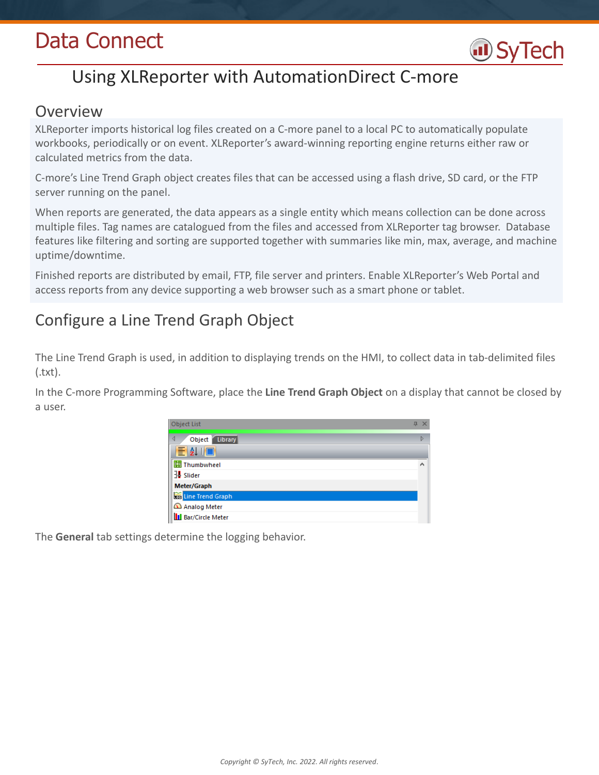# Data Connect



# Using XLReporter with AutomationDirect C-more

### Overview

XLReporter imports historical log files created on a C-more panel to a local PC to automatically populate workbooks, periodically or on event. XLReporter's award-winning reporting engine returns either raw or calculated metrics from the data.

C-more's Line Trend Graph object creates files that can be accessed using a flash drive, SD card, or the FTP server running on the panel.

When reports are generated, the data appears as a single entity which means collection can be done across multiple files. Tag names are catalogued from the files and accessed from XLReporter tag browser. Database features like filtering and sorting are supported together with summaries like min, max, average, and machine uptime/downtime.

Finished reports are distributed by email, FTP, file server and printers. Enable XLReporter's Web Portal and access reports from any device supporting a web browser such as a smart phone or tablet.

# Configure a Line Trend Graph Object

The Line Trend Graph is used, in addition to displaying trends on the HMI, to collect data in tab-delimited files (.txt).

In the C-more Programming Software, place the **Line Trend Graph Object** on a display that cannot be closed by a user.

| Object List                | Д<br>$\times$ |
|----------------------------|---------------|
| Object<br>∢<br>Library     | Þ             |
| EAIO                       |               |
| <b>轉 Thumbwheel</b>        | ^             |
| Slider                     |               |
| Meter/Graph                |               |
| Line Trend Graph           |               |
| Analog Meter               |               |
| <b>II</b> Bar/Circle Meter |               |

The **General** tab settings determine the logging behavior.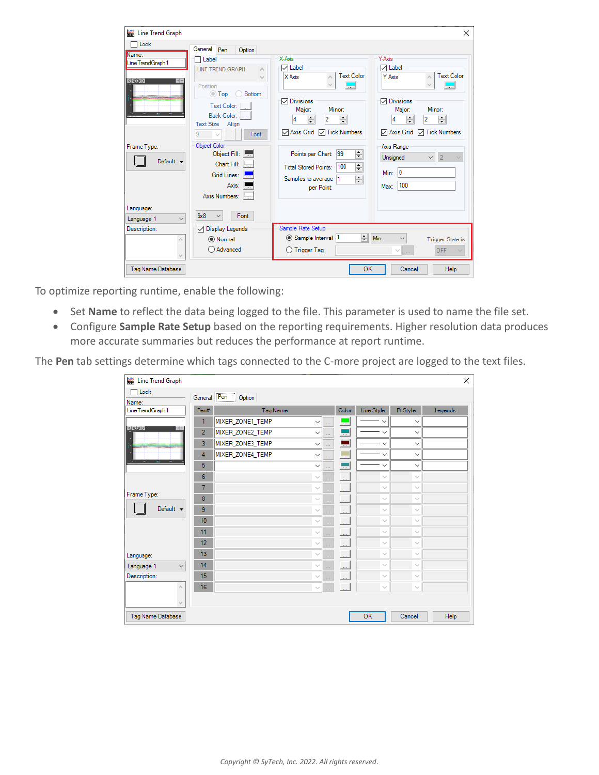|                                             |                                                         |                                                                                 | $\times$                                                                     |
|---------------------------------------------|---------------------------------------------------------|---------------------------------------------------------------------------------|------------------------------------------------------------------------------|
| <b>Executed</b> Line Trend Graph            |                                                         |                                                                                 |                                                                              |
| $\sqcap$ Lock                               | General Pen<br>Option                                   |                                                                                 |                                                                              |
| Name:<br>Line TrendGraph 1                  | □ Label<br><b>LINE TREND GRAPH</b><br>۸                 | X-Axis<br>$\triangledown$ Label                                                 | Y-Axis<br>$\sqrt{}$ Label                                                    |
| < < ><br>or line<br><br><b>GELLERAN</b><br> | $\mathcal{M}$<br>Position<br><b>Bottom</b><br>◯ Top     | <b>Text Color</b><br>X Axis<br>$\overline{\phantom{a}}$                         | <b>Text Color</b><br>Y Axis<br>$\overline{\phantom{a}}$                      |
|                                             | Text Color:  <br>Back Color:                            | <b>○</b> Divisions<br>Major:<br>Minor:                                          | <b>○</b> Divisions<br>Minor:<br>Major:                                       |
|                                             | <b>Text Size</b><br>Align<br>9<br>Font<br>$\sim$        | $\div$<br>2<br>÷<br>A<br>$\triangledown$ Axis Grid $\triangledown$ Tick Numbers | $\div$<br>÷<br>$\overline{2}$<br><b>▽ Axis Grid</b><br><b>□</b> Tick Numbers |
| Frame Type:<br>Default $\blacktriangledown$ | <b>Object Color</b><br>Object Fill:<br>Chart Fill:      | $\div$<br>Points per Chart: 99<br>$\div$<br>Total Stored Points: 100            | Axis Range<br>Unsigned<br>$\overline{2}$                                     |
|                                             | Grid Lines:<br>Axis:<br>Axis Numbers:                   | $\div$<br>Samples to average 1<br>per Point:                                    | $ 0\rangle$<br>Min:<br>100<br>Max:                                           |
| Language:<br>$\checkmark$<br>Language 1     | 6x8<br>Font                                             |                                                                                 |                                                                              |
| Description:<br>$\mathcal{O}_2$             | <b>Display Legends</b><br>☑<br>(C) Normal<br>◯ Advanced | Sample Rate Setup<br>÷۱<br>Sample Interval 1<br>◯ Trigger Tag                   | Min.<br><b>Trigger State is</b><br>OFF                                       |
| Tag Name Database                           |                                                         | OK                                                                              | Cancel<br>Help                                                               |

To optimize reporting runtime, enable the following:

- Set **Name** to reflect the data being logged to the file. This parameter is used to name the file set.
- Configure **Sample Rate Setup** based on the reporting requirements. Higher resolution data produces more accurate summaries but reduces the performance at report runtime.

The **Pen** tab settings determine which tags connected to the C-more project are logged to the text files.

| <b>Executed</b> Line Trend Graph              |                  |                    |              |                |                            |              |              | ×       |
|-----------------------------------------------|------------------|--------------------|--------------|----------------|----------------------------|--------------|--------------|---------|
| $\Box$ Lock<br>Name:                          |                  | General Pen Option |              |                |                            |              |              |         |
| Line TrendGraph 1                             | Pen#             | Tag Name           |              |                | Color                      | Line Style   | Pt Style     | Legends |
|                                               | 1                | MIXER_ZONE1_TEMP   | $\checkmark$ | m.             | ш,                         | $\checkmark$ | $\checkmark$ |         |
| $ \langle \langle \rangle \rangle $<br>or Jus | $\overline{2}$   | MIXER_ZONE2_TEMP   | $\checkmark$ | in.            | ---                        | $\checkmark$ | $\checkmark$ |         |
| ,,,,,,,,,,,,,,,,,,,,,,,,,,,,,,,,,,,,,,        | 3                | MIXER_ZONE3_TEMP   | $\checkmark$ | i.             | u.                         | $\checkmark$ | $\checkmark$ |         |
|                                               | 4                | MIXER_ZONE4_TEMP   | $\checkmark$ | $\cdots$       | u.                         | $\checkmark$ | $\checkmark$ |         |
| <b>Security</b> Security<br>$\overline{a}$    | 5                |                    | $\checkmark$ | ш.             |                            | $\checkmark$ | $\checkmark$ |         |
|                                               | 6                |                    | $\checkmark$ | $\sim$         | $\mathbb{R}^2$             | $\checkmark$ | $\checkmark$ |         |
|                                               | $\overline{7}$   |                    | $\sim$       | in.            | $\mathbb{Z}^2$             | $\checkmark$ | $\checkmark$ |         |
| Frame Type:                                   | 8                |                    | $\checkmark$ | m.             | $\mathbb{Z}^2$             | $\checkmark$ | $\checkmark$ |         |
| Default $\blacktriangleright$                 | 9                |                    | $\checkmark$ | m.             | $\mathbf{r}$               | $\sim$       | $\sim$       |         |
|                                               | 10 <sub>10</sub> |                    | $\checkmark$ | $\overline{a}$ | $\mathcal{L}$              | $\sim$       | $\checkmark$ |         |
|                                               | 11               |                    | $\checkmark$ | $\frac{1}{2}$  | $\mathcal{L}_{\text{max}}$ | $\searrow$   | $\checkmark$ |         |
|                                               | 12               |                    | $\checkmark$ | m.             | $\mathcal{L}_{\text{max}}$ | $\sim$       | $\checkmark$ |         |
| Language:                                     | 13               |                    | $\checkmark$ | i.             | L.                         | $\checkmark$ | $\checkmark$ |         |
| Language 1<br>$\checkmark$                    | 14               |                    |              | à.             | $\mathbb{Z}^2$             | $\checkmark$ | $\checkmark$ |         |
| Description:                                  | 15               |                    | $\searrow$   | ш,             | $\mathcal{L}_{\text{max}}$ | $\checkmark$ | $\checkmark$ |         |
| $\mathcal{O}_2$                               | 16               |                    | $\checkmark$ | $\overline{a}$ | $\sim$                     | $\sim$       | $\checkmark$ |         |
| $\epsilon_{\rm s}$                            |                  |                    |              |                |                            |              |              |         |
| Tag Name Database                             |                  |                    |              |                |                            | OK           | Cancel       | Help    |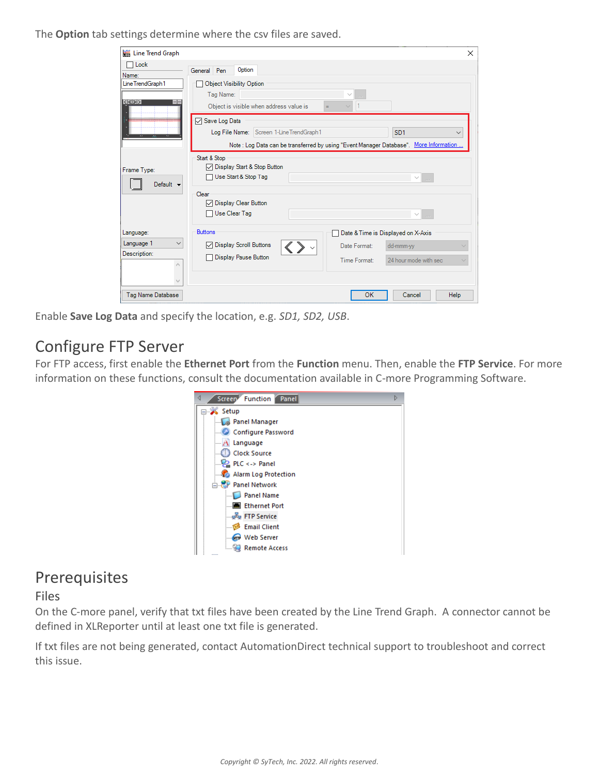The **Option** tab settings determine where the csv files are saved.

| <b>Executed</b> Line Trend Graph<br>Lock     |                                                                                                                                                                                                                                      | $\times$     |
|----------------------------------------------|--------------------------------------------------------------------------------------------------------------------------------------------------------------------------------------------------------------------------------------|--------------|
| Name:                                        | Option<br>General Pen                                                                                                                                                                                                                |              |
| Line TrendGraph 1<br> < < >                  | <b>Object Visibility Option</b><br>Tag Name:<br>$\sim$                                                                                                                                                                               |              |
|                                              | $\vert$ 1<br>Object is visible when address value is<br>$=$<br>Save Log Data<br>Log File Name: Screen 1-Line TrendGraph1<br>SD <sub>1</sub><br>Note: Log Data can be transferred by using "Event Manager Database". More Information | $\checkmark$ |
| Frame Type:<br>Default $\blacktriangleright$ | Start & Stop<br>○ Display Start & Stop Button<br>Use Start & Stop Tag<br>$\sim$                                                                                                                                                      |              |
|                                              | Clear<br>□ Display Clear Button<br>□ Use Clear Tag<br>$\checkmark$<br>$\mathcal{L}_{\text{max}}$                                                                                                                                     |              |
| Language:                                    | <b>Buttons</b><br>Date & Time is Displayed on X-Axis                                                                                                                                                                                 |              |
| Language 1<br>$\checkmark$<br>Description:   | <b>□</b> Display Scroll Buttons<br>Date Format:<br>dd-mmm-yy                                                                                                                                                                         | $\sim$       |
| $\rho_{\rm b}$<br>w                          | <b>Display Pause Button</b><br>Time Format:<br>24 hour mode with sec                                                                                                                                                                 |              |
| Tag Name Database                            | OK<br>Help<br>Cancel                                                                                                                                                                                                                 |              |

Enable **Save Log Data** and specify the location, e.g. *SD1, SD2, USB*.

# Configure FTP Server

For FTP access, first enable the **Ethernet Port** from the **Function** menu. Then, enable the **FTP Service**. For more information on these functions, consult the documentation available in C-more Programming Software.



### Prerequisites

#### Files

On the C-more panel, verify that txt files have been created by the Line Trend Graph. A connector cannot be defined in XLReporter until at least one txt file is generated.

If txt files are not being generated, contact AutomationDirect technical support to troubleshoot and correct this issue.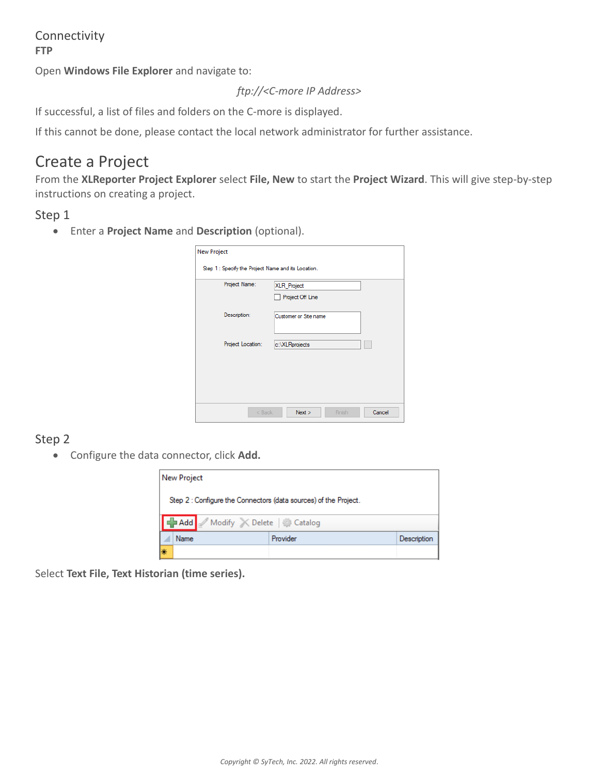Connectivity **FTP**

Open **Windows File Explorer** and navigate to:

*ftp://<C-more IP Address>*

If successful, a list of files and folders on the C-more is displayed.

If this cannot be done, please contact the local network administrator for further assistance.

### Create a Project

From the **XLReporter Project Explorer** select **File, New** to start the **Project Wizard**. This will give step-by-step instructions on creating a project.

### Step 1

Enter a **Project Name** and **Description** (optional).

| Project Name:     | XLR_Project<br>Project Off Line |
|-------------------|---------------------------------|
| Description:      | Customer or Site name           |
| Project Location: | c:\XLRprojects                  |
|                   |                                 |

### Step 2

Configure the data connector, click **Add.**



Select **Text File, Text Historian (time series).**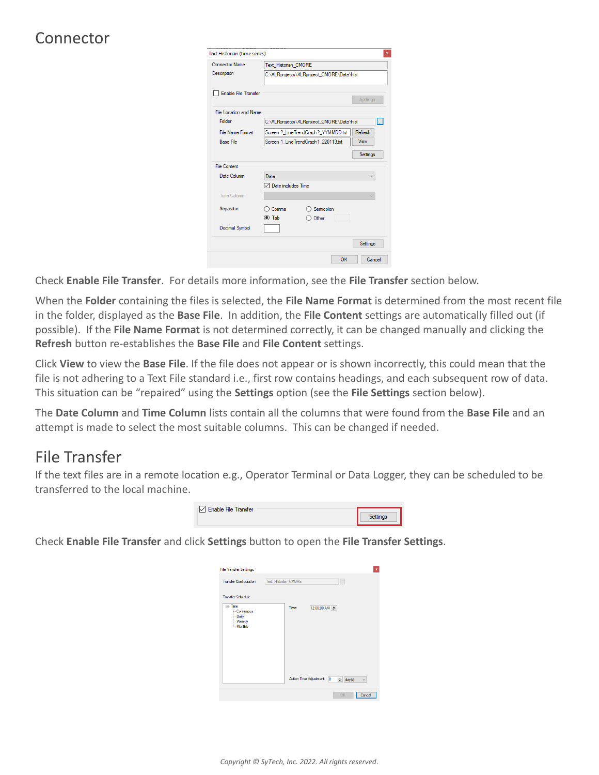# Connector

| Text Historian (time series)  |                                            |                 |
|-------------------------------|--------------------------------------------|-----------------|
| <b>Connector Name</b>         | Text_Historian_CMORE                       |                 |
| Description                   | C:\XLRprojects\XLRproject CMORE\Data\hist  |                 |
| <b>Enable File Transfer</b>   |                                            | Settings        |
| <b>File Location and Name</b> |                                            |                 |
| Folder                        | C:\XLRprojects\XLRproject CMORE\Data\hist  | L.              |
| <b>File Name Format</b>       | Screen ? LineTrendGraph? YYMMDD.txt        | Refresh         |
| <b>Base File</b>              | Screen 1 LineTrendGraph1 220113.txt        | View            |
|                               |                                            | <b>Settings</b> |
| <b>File Content</b>           |                                            |                 |
| Date Column                   | Date                                       |                 |
|                               | $\boxdot$ Date includes Time               |                 |
| Time Column                   |                                            |                 |
| Separator                     | Semicolon<br>Comma<br>$\odot$ Tab<br>Other |                 |
| <b>Decimal Symbol</b>         |                                            |                 |
|                               |                                            | <b>Settings</b> |
|                               | OK                                         | Cancel          |

Check **Enable File Transfer**. For details more information, see the **File Transfer** section below.

When the **Folder** containing the files is selected, the **File Name Format** is determined from the most recent file in the folder, displayed as the **Base File**. In addition, the **File Content** settings are automatically filled out (if possible). If the **File Name Format** is not determined correctly, it can be changed manually and clicking the **Refresh** button re-establishes the **Base File** and **File Content** settings.

Click **View** to view the **Base File**. If the file does not appear or is shown incorrectly, this could mean that the file is not adhering to a Text File standard i.e., first row contains headings, and each subsequent row of data. This situation can be "repaired" using the **Settings** option (see the **File Settings** section below).

The **Date Column** and **Time Column** lists contain all the columns that were found from the **Base File** and an attempt is made to select the most suitable columns. This can be changed if needed.

# File Transfer

If the text files are in a remote location e.g., Operator Terminal or Data Logger, they can be scheduled to be transferred to the local machine.



Check **Enable File Transfer** and click **Settings** button to open the **File Transfer Settings**.

| <b>File Transfer Settings</b>                                    | $\pmb{\times}$                                                                 |
|------------------------------------------------------------------|--------------------------------------------------------------------------------|
| <b>Transfer Configuration</b>                                    | Text_Historian_CMORE<br>L.                                                     |
| <b>Transfer Schedule</b>                                         |                                                                                |
| <b>E</b> -Time<br>Continuous<br>- Daily<br>- Weekly<br>- Monthly | 12:00:00 AM $\div$<br>Time:                                                    |
|                                                                  | Action Time Adjustment: 0<br>$\left \frac{1}{x}\right $ day(s)<br>$\checkmark$ |
|                                                                  | OK<br>Cancel                                                                   |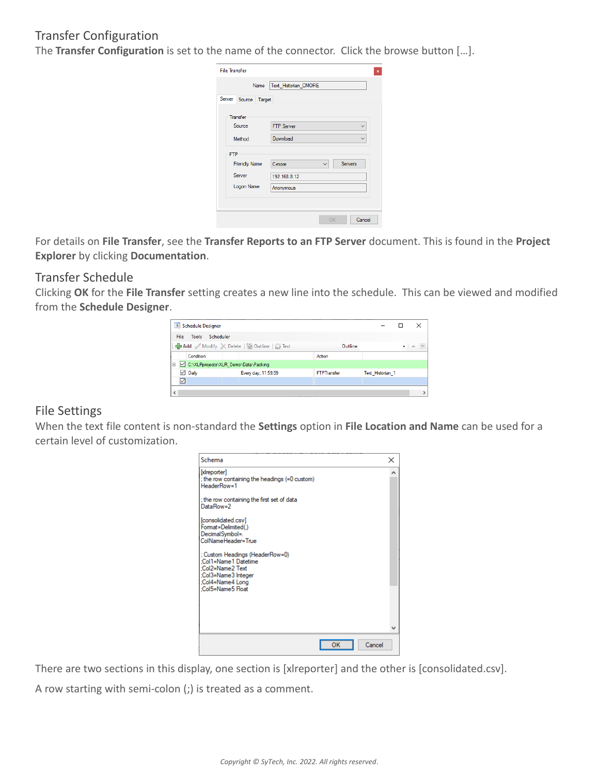### Transfer Configuration

The **Transfer Configuration** is set to the name of the connector. Click the browse button […].

| <b>File Transfer</b> |                                   |
|----------------------|-----------------------------------|
| Name                 | Text_Historian_CMORE              |
| Server Source Target |                                   |
| Transfer             |                                   |
| Source               | <b>FTP Server</b><br>$\checkmark$ |
| Method               | Download                          |
| <b>FTP</b>           |                                   |
| <b>Friendly Name</b> | Servers<br>C-more<br>$\checkmark$ |
| Server               | 192.168.8.12                      |
| Logon Name           | Anonymous                         |
|                      |                                   |
|                      |                                   |
|                      | OK<br>Cancel                      |

For details on **File Transfer**, see the **Transfer Reports to an FTP Server** document. This is found in the **Project Explorer** by clicking **Documentation**.

#### Transfer Schedule

Clicking **OK** for the **File Transfer** setting creates a new line into the schedule. This can be viewed and modified from the **Schedule Designer**.

|        | Schedule Designer                    |                                        |                    |                  | ×             |
|--------|--------------------------------------|----------------------------------------|--------------------|------------------|---------------|
| File   | Scheduler<br><b>Tools</b>            |                                        |                    |                  |               |
|        |                                      | Add Modify X Delete and Outline G Test | Outline            |                  | $\bullet$ = = |
|        | Condition                            |                                        | Action             |                  |               |
|        | C:\XLRprojects\XLR_Demo\Data\Packing |                                        |                    |                  |               |
|        | $\triangledown$ Daily                | Every day; 11:59:59                    | <b>FTPTransfer</b> | Text Historian 1 |               |
| ☑      |                                      |                                        |                    |                  |               |
| $\leq$ |                                      |                                        |                    |                  |               |

#### File Settings

When the text file content is non-standard the **Settings** option in **File Location and Name** can be used for a certain level of customization.



There are two sections in this display, one section is [xlreporter] and the other is [consolidated.csv].

A row starting with semi-colon (;) is treated as a comment.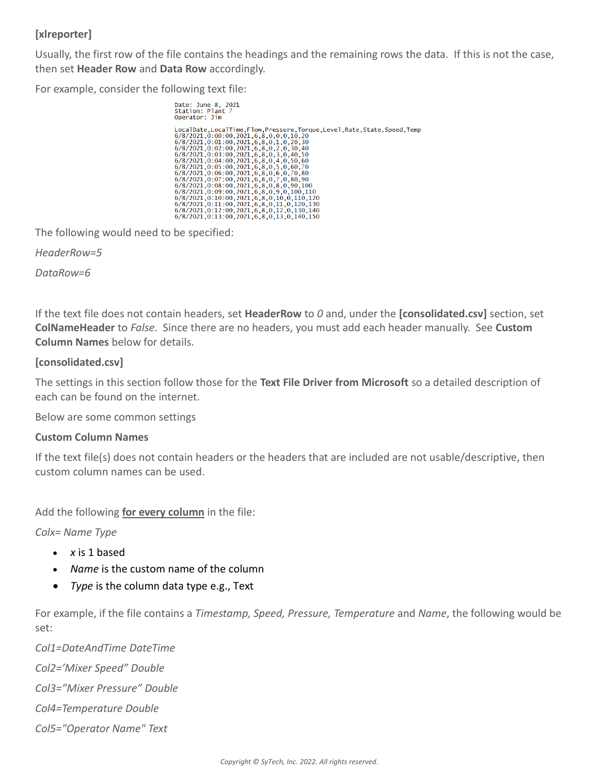### **[xlreporter]**

Usually, the first row of the file contains the headings and the remaining rows the data. If this is not the case, then set **Header Row** and **Data Row** accordingly.

For example, consider the following text file:

Date: June 8, 2021<br>Station: Plant 7<br>Operator: Jim 06 = 4001. 1 = 100 0001. 1 = 100, 0001. 1 = 10001. 1 = 10001. 1 = 10001. 1 = 10001. 1 = 10001. 1 = 10001. 1 = 10001. 1 = 10001. 1 = 10001. 1 = 10001. 1 = 10001. 1 = 10001. 1 = 10001. 1 = 10001. 1 = 10001. 1 = 10001. 1 = 10

The following would need to be specified:

*HeaderRow=5*

*DataRow=6*

If the text file does not contain headers, set **HeaderRow** to *0* and, under the **[consolidated.csv]** section, set **ColNameHeader** to *False*. Since there are no headers, you must add each header manually. See **Custom Column Names** below for details.

#### **[consolidated.csv]**

The settings in this section follow those for the **Text File Driver from Microsoft** so a detailed description of each can be found on the internet.

Below are some common settings

#### **Custom Column Names**

If the text file(s) does not contain headers or the headers that are included are not usable/descriptive, then custom column names can be used.

Add the following **for every column** in the file:

*Colx= Name Type*

- *x* is 1 based
- *Name* is the custom name of the column
- *Type* is the column data type e.g., Text

For example, if the file contains a *Timestamp, Speed, Pressure, Temperature* and *Name*, the following would be set:

*Col1=DateAndTime DateTime Col2='Mixer Speed" Double Col3="Mixer Pressure" Double Col4=Temperature Double Col5="Operator Name" Text*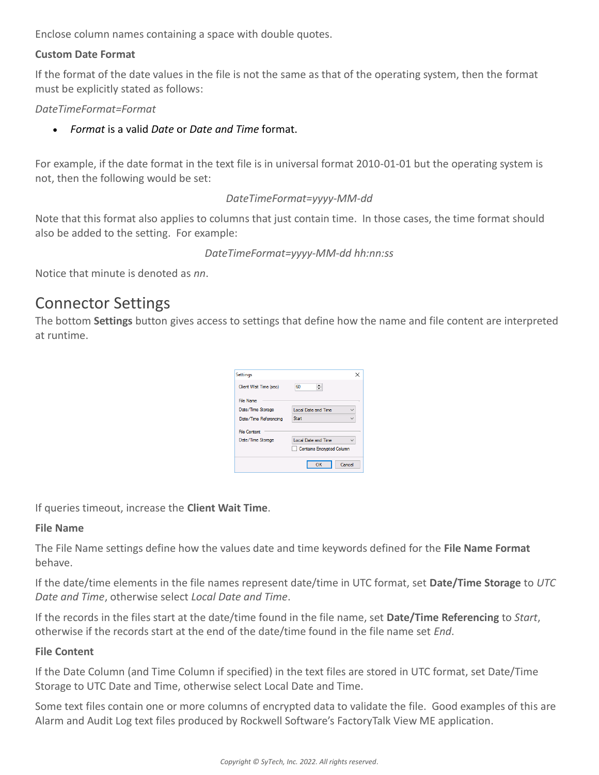Enclose column names containing a space with double quotes.

#### **Custom Date Format**

If the format of the date values in the file is not the same as that of the operating system, then the format must be explicitly stated as follows:

#### *DateTimeFormat=Format*

*Format* is a valid *Date* or *Date and Time* format.

For example, if the date format in the text file is in universal format 2010-01-01 but the operating system is not, then the following would be set:

#### *DateTimeFormat=yyyy-MM-dd*

Note that this format also applies to columns that just contain time. In those cases, the time format should also be added to the setting. For example:

#### *DateTimeFormat=yyyy-MM-dd hh:nn:ss*

Notice that minute is denoted as *nn*.

### Connector Settings

The bottom **Settings** button gives access to settings that define how the name and file content are interpreted at runtime.

| Settings               |                                  |
|------------------------|----------------------------------|
| Client Wait Time (sec) | 60                               |
| <b>File Name</b>       |                                  |
| Date/Time Storage      | <b>Local Date and Time</b>       |
| Date/Time Referencing  | Start                            |
| <b>File Content</b>    |                                  |
| Date/Time Storage      | Local Date and Time              |
|                        | <b>Contains Encrypted Column</b> |
|                        |                                  |
|                        | Cancel<br>ок                     |

If queries timeout, increase the **Client Wait Time**.

#### **File Name**

The File Name settings define how the values date and time keywords defined for the **File Name Format** behave.

If the date/time elements in the file names represent date/time in UTC format, set **Date/Time Storage** to *UTC Date and Time*, otherwise select *Local Date and Time*.

If the records in the files start at the date/time found in the file name, set **Date/Time Referencing** to *Start*, otherwise if the records start at the end of the date/time found in the file name set *End*.

#### **File Content**

If the Date Column (and Time Column if specified) in the text files are stored in UTC format, set Date/Time Storage to UTC Date and Time, otherwise select Local Date and Time.

Some text files contain one or more columns of encrypted data to validate the file. Good examples of this are Alarm and Audit Log text files produced by Rockwell Software's FactoryTalk View ME application.